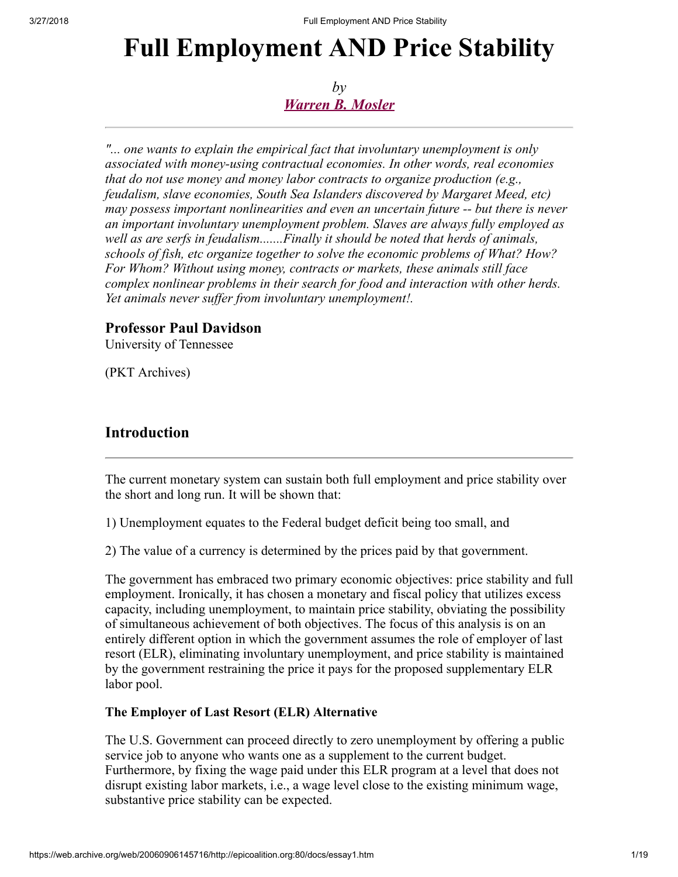# Full Employment AND Price Stability

*by [Warren B. Mosler](https://web.archive.org/web/20060906145716/mailto:warren@mosler.org)*

*"... one wants to explain the empirical fact that involuntary unemployment is only associated with money-using contractual economies. In other words, real economies that do not use money and money labor contracts to organize production (e.g., feudalism, slave economies, South Sea Islanders discovered by Margaret Meed, etc) may possess important nonlinearities and even an uncertain future -- but there is never an important involuntary unemployment problem. Slaves are always fully employed as well as are serfs in feudalism.......Finally it should be noted that herds of animals, schools of fish, etc organize together to solve the economic problems of What? How? For Whom? Without using money, contracts or markets, these animals still face complex nonlinear problems in their search for food and interaction with other herds. Yet animals never suffer from involuntary unemployment!.*

# Professor Paul Davidson

University of Tennessee

(PKT Archives)

# Introduction

The current monetary system can sustain both full employment and price stability over the short and long run. It will be shown that:

1) Unemployment equates to the Federal budget deficit being too small, and

2) The value of a currency is determined by the prices paid by that government.

The government has embraced two primary economic objectives: price stability and full employment. Ironically, it has chosen a monetary and fiscal policy that utilizes excess capacity, including unemployment, to maintain price stability, obviating the possibility of simultaneous achievement of both objectives. The focus of this analysis is on an entirely different option in which the government assumes the role of employer of last resort (ELR), eliminating involuntary unemployment, and price stability is maintained by the government restraining the price it pays for the proposed supplementary ELR labor pool.

## The Employer of Last Resort (ELR) Alternative

The U.S. Government can proceed directly to zero unemployment by offering a public service job to anyone who wants one as a supplement to the current budget. Furthermore, by fixing the wage paid under this ELR program at a level that does not disrupt existing labor markets, i.e., a wage level close to the existing minimum wage, substantive price stability can be expected.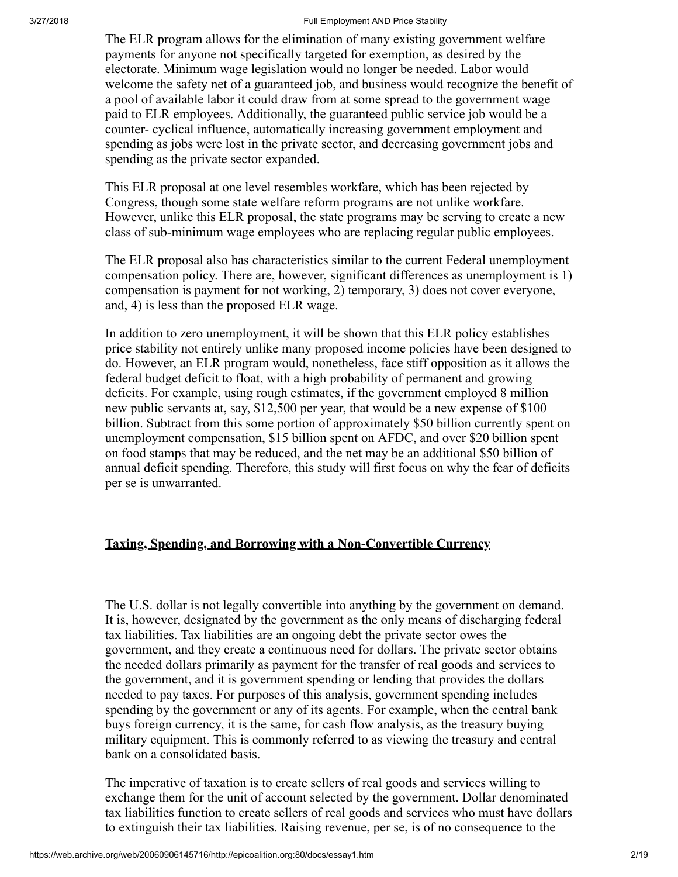The ELR program allows for the elimination of many existing government welfare payments for anyone not specifically targeted for exemption, as desired by the electorate. Minimum wage legislation would no longer be needed. Labor would welcome the safety net of a guaranteed job, and business would recognize the benefit of a pool of available labor it could draw from at some spread to the government wage paid to ELR employees. Additionally, the guaranteed public service job would be a counter- cyclical influence, automatically increasing government employment and spending as jobs were lost in the private sector, and decreasing government jobs and spending as the private sector expanded.

This ELR proposal at one level resembles workfare, which has been rejected by Congress, though some state welfare reform programs are not unlike workfare. However, unlike this ELR proposal, the state programs may be serving to create a new class of sub-minimum wage employees who are replacing regular public employees.

The ELR proposal also has characteristics similar to the current Federal unemployment compensation policy. There are, however, significant differences as unemployment is 1) compensation is payment for not working, 2) temporary, 3) does not cover everyone, and, 4) is less than the proposed ELR wage.

In addition to zero unemployment, it will be shown that this ELR policy establishes price stability not entirely unlike many proposed income policies have been designed to do. However, an ELR program would, nonetheless, face stiff opposition as it allows the federal budget deficit to float, with a high probability of permanent and growing deficits. For example, using rough estimates, if the government employed 8 million new public servants at, say, \$12,500 per year, that would be a new expense of \$100 billion. Subtract from this some portion of approximately \$50 billion currently spent on unemployment compensation, \$15 billion spent on AFDC, and over \$20 billion spent on food stamps that may be reduced, and the net may be an additional \$50 billion of annual deficit spending. Therefore, this study will first focus on why the fear of deficits per se is unwarranted.

## Taxing, Spending, and Borrowing with a Non-Convertible Currency

The U.S. dollar is not legally convertible into anything by the government on demand. It is, however, designated by the government as the only means of discharging federal tax liabilities. Tax liabilities are an ongoing debt the private sector owes the government, and they create a continuous need for dollars. The private sector obtains the needed dollars primarily as payment for the transfer of real goods and services to the government, and it is government spending or lending that provides the dollars needed to pay taxes. For purposes of this analysis, government spending includes spending by the government or any of its agents. For example, when the central bank buys foreign currency, it is the same, for cash flow analysis, as the treasury buying military equipment. This is commonly referred to as viewing the treasury and central bank on a consolidated basis.

The imperative of taxation is to create sellers of real goods and services willing to exchange them for the unit of account selected by the government. Dollar denominated tax liabilities function to create sellers of real goods and services who must have dollars to extinguish their tax liabilities. Raising revenue, per se, is of no consequence to the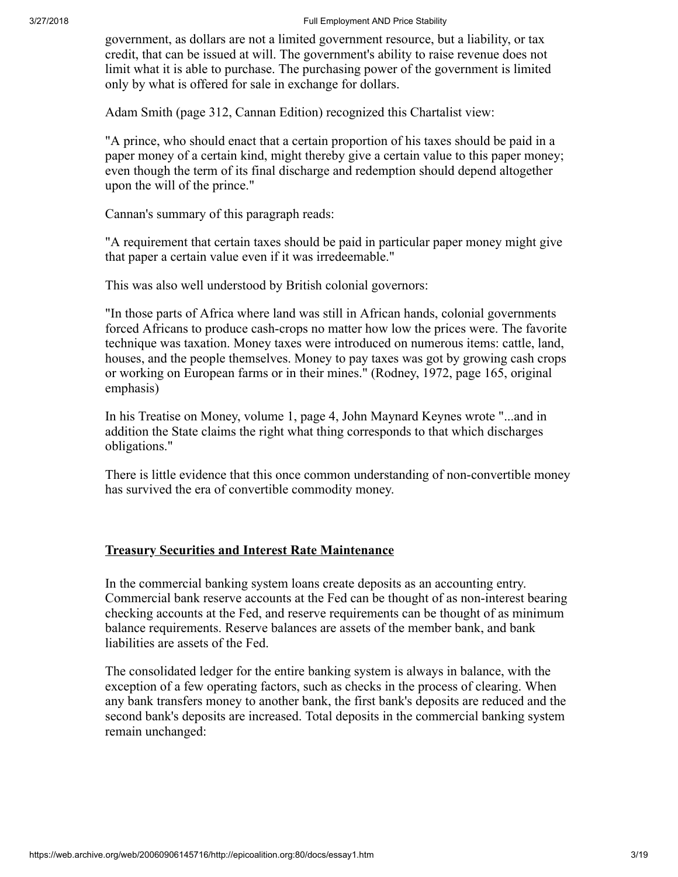government, as dollars are not a limited government resource, but a liability, or tax credit, that can be issued at will. The government's ability to raise revenue does not limit what it is able to purchase. The purchasing power of the government is limited only by what is offered for sale in exchange for dollars.

Adam Smith (page 312, Cannan Edition) recognized this Chartalist view:

"A prince, who should enact that a certain proportion of his taxes should be paid in a paper money of a certain kind, might thereby give a certain value to this paper money; even though the term of its final discharge and redemption should depend altogether upon the will of the prince."

Cannan's summary of this paragraph reads:

"A requirement that certain taxes should be paid in particular paper money might give that paper a certain value even if it was irredeemable."

This was also well understood by British colonial governors:

"In those parts of Africa where land was still in African hands, colonial governments forced Africans to produce cash-crops no matter how low the prices were. The favorite technique was taxation. Money taxes were introduced on numerous items: cattle, land, houses, and the people themselves. Money to pay taxes was got by growing cash crops or working on European farms or in their mines." (Rodney, 1972, page 165, original emphasis)

In his Treatise on Money, volume 1, page 4, John Maynard Keynes wrote "...and in addition the State claims the right what thing corresponds to that which discharges obligations."

There is little evidence that this once common understanding of non-convertible money has survived the era of convertible commodity money.

## Treasury Securities and Interest Rate Maintenance

In the commercial banking system loans create deposits as an accounting entry. Commercial bank reserve accounts at the Fed can be thought of as non-interest bearing checking accounts at the Fed, and reserve requirements can be thought of as minimum balance requirements. Reserve balances are assets of the member bank, and bank liabilities are assets of the Fed.

The consolidated ledger for the entire banking system is always in balance, with the exception of a few operating factors, such as checks in the process of clearing. When any bank transfers money to another bank, the first bank's deposits are reduced and the second bank's deposits are increased. Total deposits in the commercial banking system remain unchanged: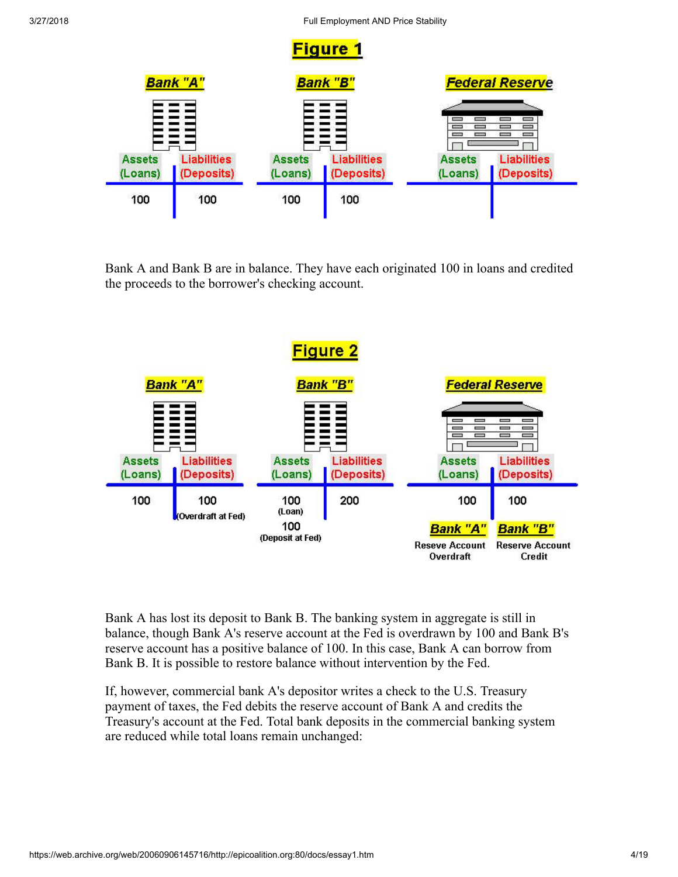

Bank A and Bank B are in balance. They have each originated 100 in loans and credited the proceeds to the borrower's checking account.



Bank A has lost its deposit to Bank B. The banking system in aggregate is still in balance, though Bank A's reserve account at the Fed is overdrawn by 100 and Bank B's reserve account has a positive balance of 100. In this case, Bank A can borrow from Bank B. It is possible to restore balance without intervention by the Fed.

If, however, commercial bank A's depositor writes a check to the U.S. Treasury payment of taxes, the Fed debits the reserve account of Bank A and credits the Treasury's account at the Fed. Total bank deposits in the commercial banking system are reduced while total loans remain unchanged: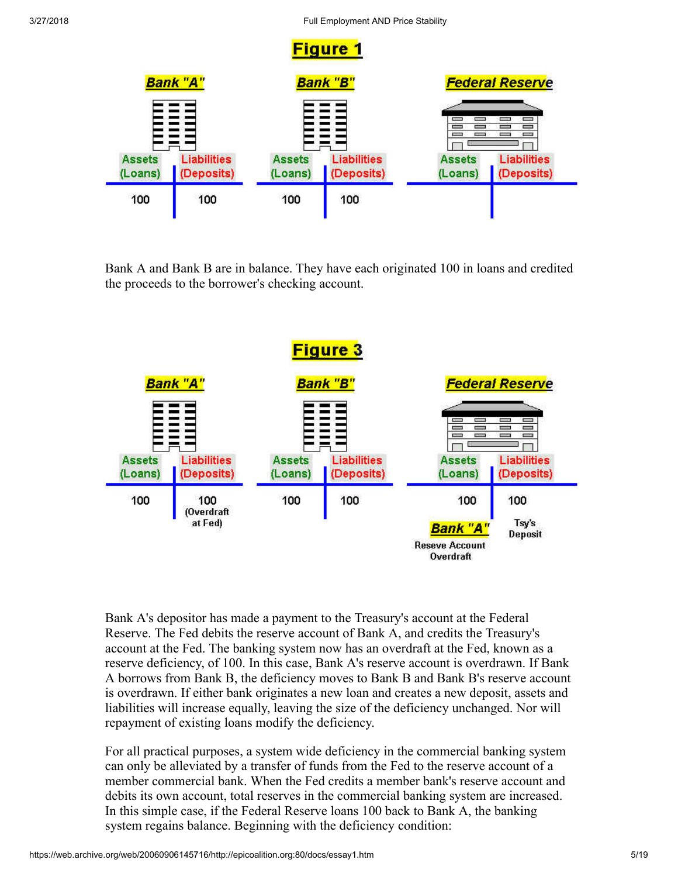

Bank A and Bank B are in balance. They have each originated 100 in loans and credited the proceeds to the borrower's checking account.



Bank A's depositor has made a payment to the Treasury's account at the Federal Reserve. The Fed debits the reserve account of Bank A, and credits the Treasury's account at the Fed. The banking system now has an overdraft at the Fed, known as a reserve deficiency, of 100. In this case, Bank A's reserve account is overdrawn. If Bank A borrows from Bank B, the deficiency moves to Bank B and Bank B's reserve account is overdrawn. If either bank originates a new loan and creates a new deposit, assets and liabilities will increase equally, leaving the size of the deficiency unchanged. Nor will repayment of existing loans modify the deficiency.

For all practical purposes, a system wide deficiency in the commercial banking system can only be alleviated by a transfer of funds from the Fed to the reserve account of a member commercial bank. When the Fed credits a member bank's reserve account and debits its own account, total reserves in the commercial banking system are increased. In this simple case, if the Federal Reserve loans 100 back to Bank A, the banking system regains balance. Beginning with the deficiency condition: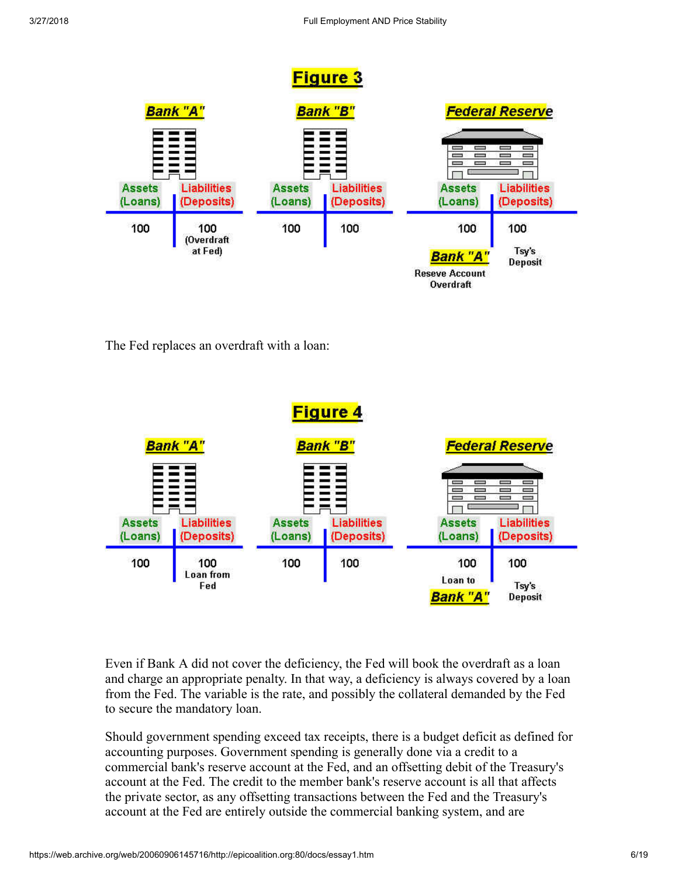

The Fed replaces an overdraft with a loan:



Even if Bank A did not cover the deficiency, the Fed will book the overdraft as a loan and charge an appropriate penalty. In that way, a deficiency is always covered by a loan from the Fed. The variable is the rate, and possibly the collateral demanded by the Fed to secure the mandatory loan.

Should government spending exceed tax receipts, there is a budget deficit as defined for accounting purposes. Government spending is generally done via a credit to a commercial bank's reserve account at the Fed, and an offsetting debit of the Treasury's account at the Fed. The credit to the member bank's reserve account is all that affects the private sector, as any offsetting transactions between the Fed and the Treasury's account at the Fed are entirely outside the commercial banking system, and are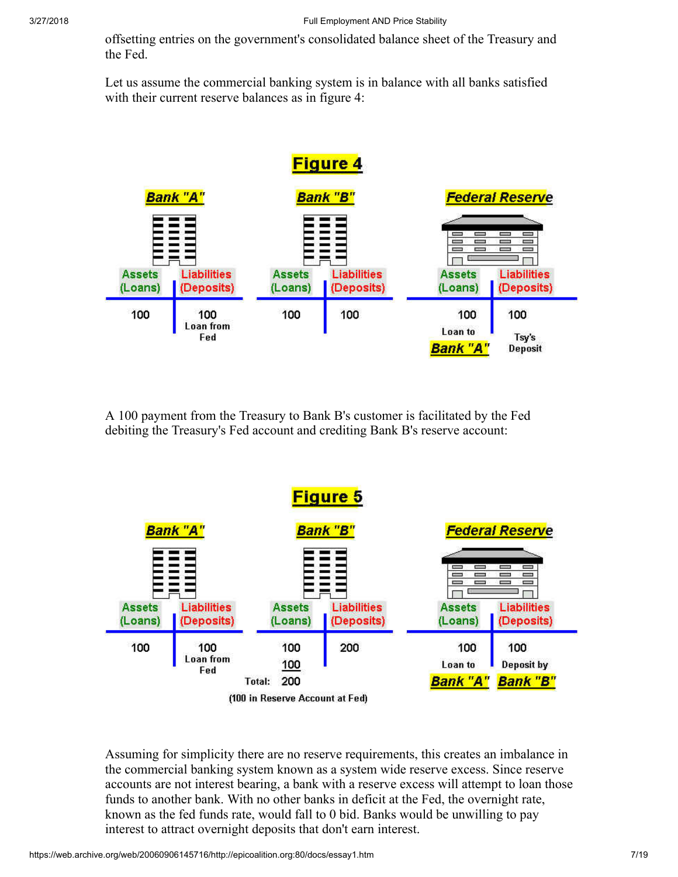offsetting entries on the government's consolidated balance sheet of the Treasury and the Fed.

Let us assume the commercial banking system is in balance with all banks satisfied with their current reserve balances as in figure 4:



A 100 payment from the Treasury to Bank B's customer is facilitated by the Fed debiting the Treasury's Fed account and crediting Bank B's reserve account:



Assuming for simplicity there are no reserve requirements, this creates an imbalance in the commercial banking system known as a system wide reserve excess. Since reserve accounts are not interest bearing, a bank with a reserve excess will attempt to loan those funds to another bank. With no other banks in deficit at the Fed, the overnight rate, known as the fed funds rate, would fall to 0 bid. Banks would be unwilling to pay interest to attract overnight deposits that don't earn interest.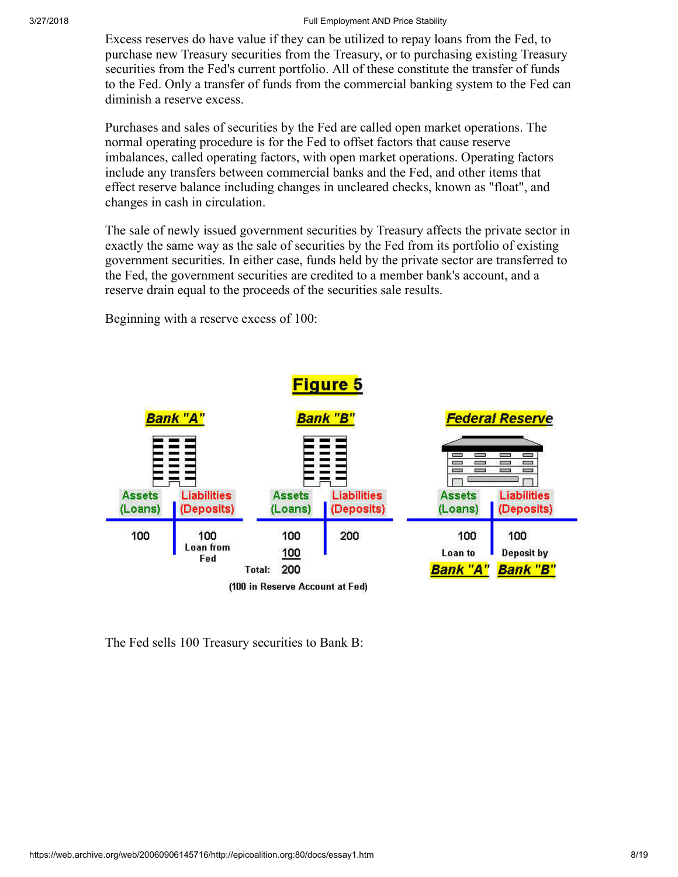Excess reserves do have value if they can be utilized to repay loans from the Fed, to purchase new Treasury securities from the Treasury, or to purchasing existing Treasury securities from the Fed's current portfolio. All of these constitute the transfer of funds to the Fed. Only a transfer of funds from the commercial banking system to the Fed can diminish a reserve excess.

Purchases and sales of securities by the Fed are called open market operations. The normal operating procedure is for the Fed to offset factors that cause reserve imbalances, called operating factors, with open market operations. Operating factors include any transfers between commercial banks and the Fed, and other items that effect reserve balance including changes in uncleared checks, known as "float", and changes in cash in circulation.

The sale of newly issued government securities by Treasury affects the private sector in exactly the same way as the sale of securities by the Fed from its portfolio of existing government securities. In either case, funds held by the private sector are transferred to the Fed, the government securities are credited to a member bank's account, and a reserve drain equal to the proceeds of the securities sale results.

**Figure 5** Bank "B" Bank "A' <del>iederal Reserve</del>  $\equiv$  $\equiv$  $\Box$ e П **Liabilities Liabilities Assets Liabilities Assets Assets** (Loans) (Deposits) (Loans) (Deposits) (Loans) (Deposits) 100 100 100 200 100 100 Loan from Deposit by 100 Loan to Fed **Bank "A" Bank "B"** Total: 200 (100 in Reserve Account at Fed)

Beginning with a reserve excess of 100:

The Fed sells 100 Treasury securities to Bank B: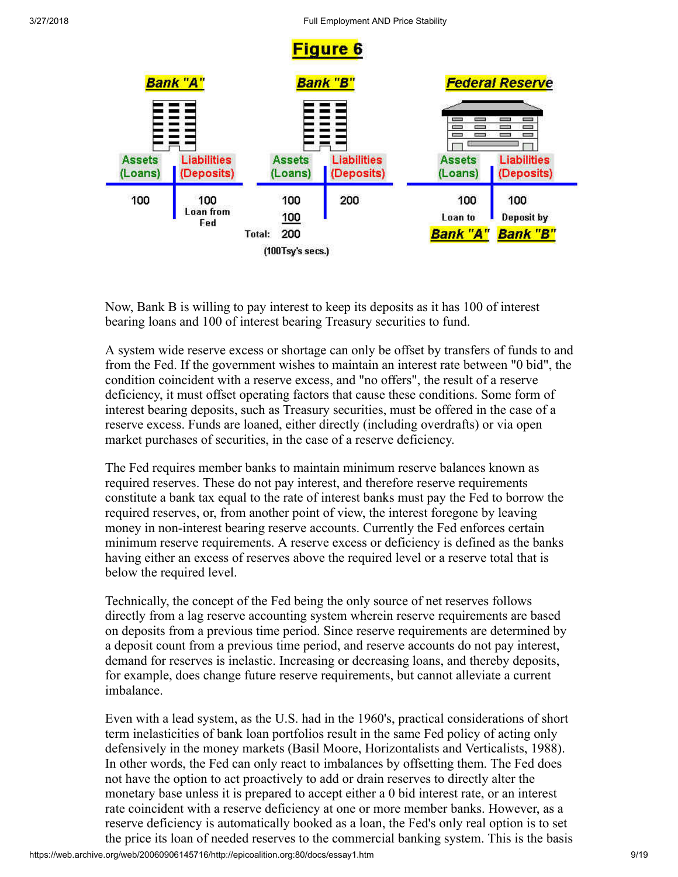

Now, Bank B is willing to pay interest to keep its deposits as it has 100 of interest bearing loans and 100 of interest bearing Treasury securities to fund.

A system wide reserve excess or shortage can only be offset by transfers of funds to and from the Fed. If the government wishes to maintain an interest rate between "0 bid", the condition coincident with a reserve excess, and "no offers", the result of a reserve deficiency, it must offset operating factors that cause these conditions. Some form of interest bearing deposits, such as Treasury securities, must be offered in the case of a reserve excess. Funds are loaned, either directly (including overdrafts) or via open market purchases of securities, in the case of a reserve deficiency.

The Fed requires member banks to maintain minimum reserve balances known as required reserves. These do not pay interest, and therefore reserve requirements constitute a bank tax equal to the rate of interest banks must pay the Fed to borrow the required reserves, or, from another point of view, the interest foregone by leaving money in non-interest bearing reserve accounts. Currently the Fed enforces certain minimum reserve requirements. A reserve excess or deficiency is defined as the banks having either an excess of reserves above the required level or a reserve total that is below the required level.

Technically, the concept of the Fed being the only source of net reserves follows directly from a lag reserve accounting system wherein reserve requirements are based on deposits from a previous time period. Since reserve requirements are determined by a deposit count from a previous time period, and reserve accounts do not pay interest, demand for reserves is inelastic. Increasing or decreasing loans, and thereby deposits, for example, does change future reserve requirements, but cannot alleviate a current imbalance.

Even with a lead system, as the U.S. had in the 1960's, practical considerations of short term inelasticities of bank loan portfolios result in the same Fed policy of acting only defensively in the money markets (Basil Moore, Horizontalists and Verticalists, 1988). In other words, the Fed can only react to imbalances by offsetting them. The Fed does not have the option to act proactively to add or drain reserves to directly alter the monetary base unless it is prepared to accept either a 0 bid interest rate, or an interest rate coincident with a reserve deficiency at one or more member banks. However, as a reserve deficiency is automatically booked as a loan, the Fed's only real option is to set the price its loan of needed reserves to the commercial banking system. This is the basis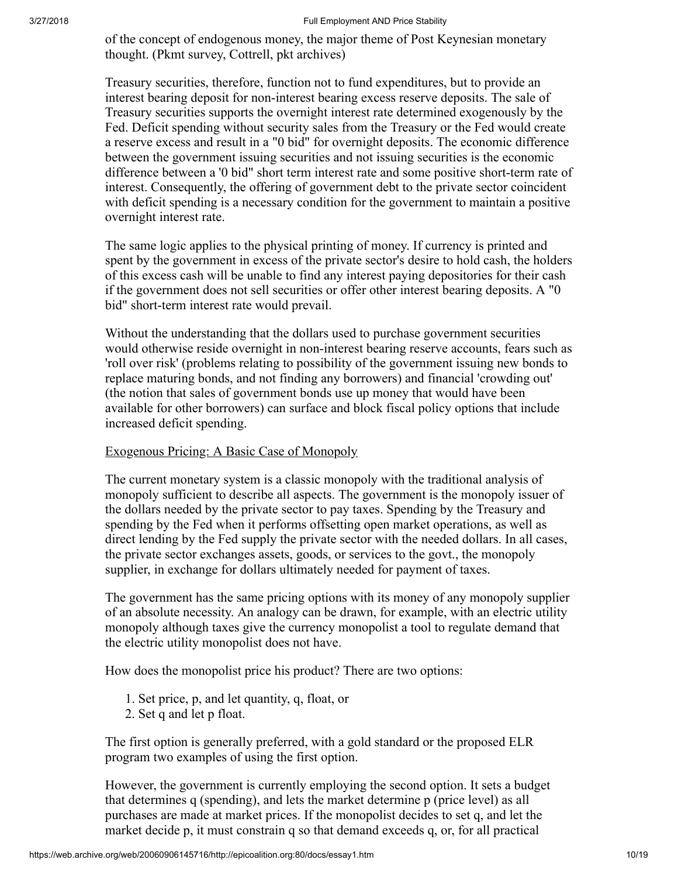of the concept of endogenous money, the major theme of Post Keynesian monetary thought. (Pkmt survey, Cottrell, pkt archives)

Treasury securities, therefore, function not to fund expenditures, but to provide an interest bearing deposit for non-interest bearing excess reserve deposits. The sale of Treasury securities supports the overnight interest rate determined exogenously by the Fed. Deficit spending without security sales from the Treasury or the Fed would create a reserve excess and result in a "0 bid" for overnight deposits. The economic difference between the government issuing securities and not issuing securities is the economic difference between a '0 bid" short term interest rate and some positive short-term rate of interest. Consequently, the offering of government debt to the private sector coincident with deficit spending is a necessary condition for the government to maintain a positive overnight interest rate.

The same logic applies to the physical printing of money. If currency is printed and spent by the government in excess of the private sector's desire to hold cash, the holders of this excess cash will be unable to find any interest paying depositories for their cash if the government does not sell securities or offer other interest bearing deposits. A "0 bid" short-term interest rate would prevail.

Without the understanding that the dollars used to purchase government securities would otherwise reside overnight in non-interest bearing reserve accounts, fears such as 'roll over risk' (problems relating to possibility of the government issuing new bonds to replace maturing bonds, and not finding any borrowers) and financial 'crowding out' (the notion that sales of government bonds use up money that would have been available for other borrowers) can surface and block fiscal policy options that include increased deficit spending.

### Exogenous Pricing: A Basic Case of Monopoly

The current monetary system is a classic monopoly with the traditional analysis of monopoly sufficient to describe all aspects. The government is the monopoly issuer of the dollars needed by the private sector to pay taxes. Spending by the Treasury and spending by the Fed when it performs offsetting open market operations, as well as direct lending by the Fed supply the private sector with the needed dollars. In all cases, the private sector exchanges assets, goods, or services to the govt., the monopoly supplier, in exchange for dollars ultimately needed for payment of taxes.

The government has the same pricing options with its money of any monopoly supplier of an absolute necessity. An analogy can be drawn, for example, with an electric utility monopoly although taxes give the currency monopolist a tool to regulate demand that the electric utility monopolist does not have.

How does the monopolist price his product? There are two options:

- 1. Set price, p, and let quantity, q, float, or
- 2. Set q and let p float.

The first option is generally preferred, with a gold standard or the proposed ELR program two examples of using the first option.

However, the government is currently employing the second option. It sets a budget that determines q (spending), and lets the market determine p (price level) as all purchases are made at market prices. If the monopolist decides to set q, and let the market decide p, it must constrain q so that demand exceeds q, or, for all practical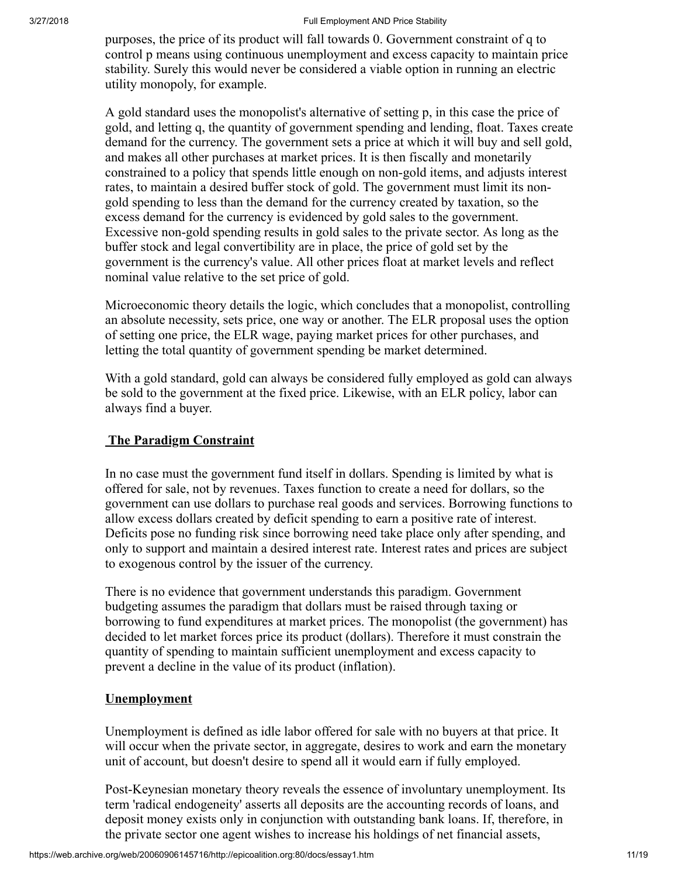purposes, the price of its product will fall towards 0. Government constraint of q to control p means using continuous unemployment and excess capacity to maintain price stability. Surely this would never be considered a viable option in running an electric utility monopoly, for example.

A gold standard uses the monopolist's alternative of setting p, in this case the price of gold, and letting q, the quantity of government spending and lending, float. Taxes create demand for the currency. The government sets a price at which it will buy and sell gold, and makes all other purchases at market prices. It is then fiscally and monetarily constrained to a policy that spends little enough on non-gold items, and adjusts interest rates, to maintain a desired buffer stock of gold. The government must limit its nongold spending to less than the demand for the currency created by taxation, so the excess demand for the currency is evidenced by gold sales to the government. Excessive non-gold spending results in gold sales to the private sector. As long as the buffer stock and legal convertibility are in place, the price of gold set by the government is the currency's value. All other prices float at market levels and reflect nominal value relative to the set price of gold.

Microeconomic theory details the logic, which concludes that a monopolist, controlling an absolute necessity, sets price, one way or another. The ELR proposal uses the option of setting one price, the ELR wage, paying market prices for other purchases, and letting the total quantity of government spending be market determined.

With a gold standard, gold can always be considered fully employed as gold can always be sold to the government at the fixed price. Likewise, with an ELR policy, labor can always find a buyer.

# The Paradigm Constraint

In no case must the government fund itself in dollars. Spending is limited by what is offered for sale, not by revenues. Taxes function to create a need for dollars, so the government can use dollars to purchase real goods and services. Borrowing functions to allow excess dollars created by deficit spending to earn a positive rate of interest. Deficits pose no funding risk since borrowing need take place only after spending, and only to support and maintain a desired interest rate. Interest rates and prices are subject to exogenous control by the issuer of the currency.

There is no evidence that government understands this paradigm. Government budgeting assumes the paradigm that dollars must be raised through taxing or borrowing to fund expenditures at market prices. The monopolist (the government) has decided to let market forces price its product (dollars). Therefore it must constrain the quantity of spending to maintain sufficient unemployment and excess capacity to prevent a decline in the value of its product (inflation).

## **Unemployment**

Unemployment is defined as idle labor offered for sale with no buyers at that price. It will occur when the private sector, in aggregate, desires to work and earn the monetary unit of account, but doesn't desire to spend all it would earn if fully employed.

Post-Keynesian monetary theory reveals the essence of involuntary unemployment. Its term 'radical endogeneity' asserts all deposits are the accounting records of loans, and deposit money exists only in conjunction with outstanding bank loans. If, therefore, in the private sector one agent wishes to increase his holdings of net financial assets,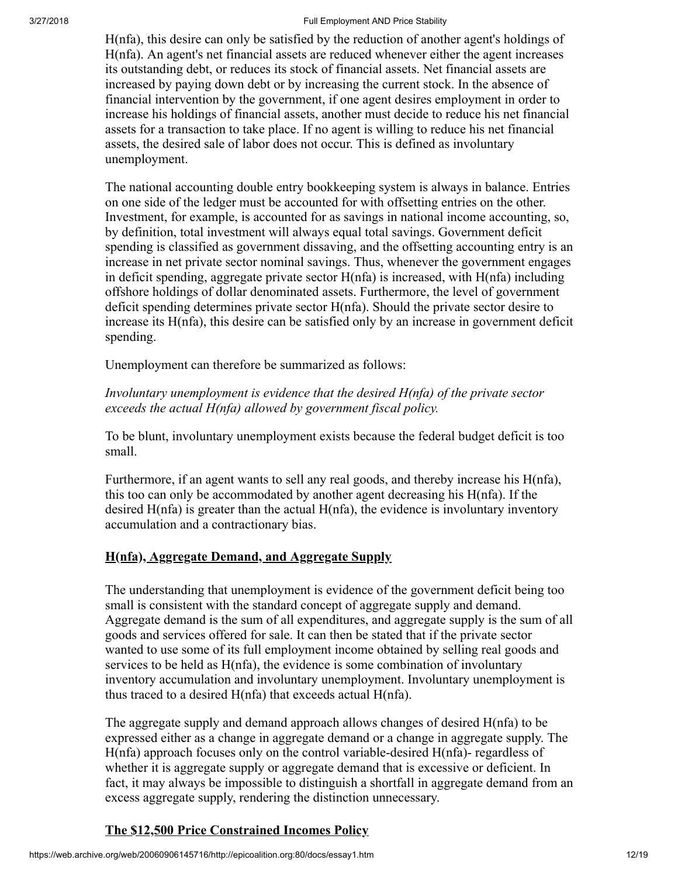H(nfa), this desire can only be satisfied by the reduction of another agent's holdings of H(nfa). An agent's net financial assets are reduced whenever either the agent increases its outstanding debt, or reduces its stock of financial assets. Net financial assets are increased by paying down debt or by increasing the current stock. In the absence of financial intervention by the government, if one agent desires employment in order to increase his holdings of financial assets, another must decide to reduce his net financial assets for a transaction to take place. If no agent is willing to reduce his net financial assets, the desired sale of labor does not occur. This is defined as involuntary unemployment.

The national accounting double entry bookkeeping system is always in balance. Entries on one side of the ledger must be accounted for with offsetting entries on the other. Investment, for example, is accounted for as savings in national income accounting, so, by definition, total investment will always equal total savings. Government deficit spending is classified as government dissaving, and the offsetting accounting entry is an increase in net private sector nominal savings. Thus, whenever the government engages in deficit spending, aggregate private sector  $H(nfa)$  is increased, with  $H(nfa)$  including offshore holdings of dollar denominated assets. Furthermore, the level of government deficit spending determines private sector H(nfa). Should the private sector desire to increase its H(nfa), this desire can be satisfied only by an increase in government deficit spending.

Unemployment can therefore be summarized as follows:

# *Involuntary unemployment is evidence that the desired H(nfa) of the private sector exceeds the actual H(nfa) allowed by government fiscal policy.*

To be blunt, involuntary unemployment exists because the federal budget deficit is too small.

Furthermore, if an agent wants to sell any real goods, and thereby increase his H(nfa), this too can only be accommodated by another agent decreasing his H(nfa). If the desired H(nfa) is greater than the actual H(nfa), the evidence is involuntary inventory accumulation and a contractionary bias.

# H(nfa), Aggregate Demand, and Aggregate Supply

The understanding that unemployment is evidence of the government deficit being too small is consistent with the standard concept of aggregate supply and demand. Aggregate demand is the sum of all expenditures, and aggregate supply is the sum of all goods and services offered for sale. It can then be stated that if the private sector wanted to use some of its full employment income obtained by selling real goods and services to be held as H(nfa), the evidence is some combination of involuntary inventory accumulation and involuntary unemployment. Involuntary unemployment is thus traced to a desired H(nfa) that exceeds actual H(nfa).

The aggregate supply and demand approach allows changes of desired H(nfa) to be expressed either as a change in aggregate demand or a change in aggregate supply. The H(nfa) approach focuses only on the control variable-desired H(nfa)- regardless of whether it is aggregate supply or aggregate demand that is excessive or deficient. In fact, it may always be impossible to distinguish a shortfall in aggregate demand from an excess aggregate supply, rendering the distinction unnecessary.

# The \$12,500 Price Constrained Incomes Policy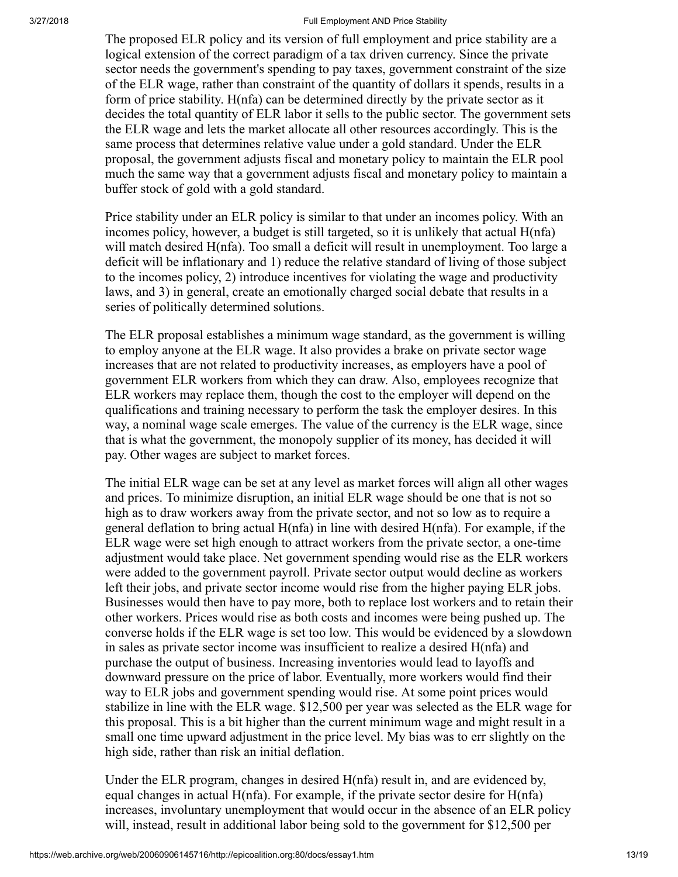The proposed ELR policy and its version of full employment and price stability are a logical extension of the correct paradigm of a tax driven currency. Since the private sector needs the government's spending to pay taxes, government constraint of the size of the ELR wage, rather than constraint of the quantity of dollars it spends, results in a form of price stability. H(nfa) can be determined directly by the private sector as it decides the total quantity of ELR labor it sells to the public sector. The government sets the ELR wage and lets the market allocate all other resources accordingly. This is the same process that determines relative value under a gold standard. Under the ELR proposal, the government adjusts fiscal and monetary policy to maintain the ELR pool much the same way that a government adjusts fiscal and monetary policy to maintain a buffer stock of gold with a gold standard.

Price stability under an ELR policy is similar to that under an incomes policy. With an incomes policy, however, a budget is still targeted, so it is unlikely that actual H(nfa) will match desired H(nfa). Too small a deficit will result in unemployment. Too large a deficit will be inflationary and 1) reduce the relative standard of living of those subject to the incomes policy, 2) introduce incentives for violating the wage and productivity laws, and 3) in general, create an emotionally charged social debate that results in a series of politically determined solutions.

The ELR proposal establishes a minimum wage standard, as the government is willing to employ anyone at the ELR wage. It also provides a brake on private sector wage increases that are not related to productivity increases, as employers have a pool of government ELR workers from which they can draw. Also, employees recognize that ELR workers may replace them, though the cost to the employer will depend on the qualifications and training necessary to perform the task the employer desires. In this way, a nominal wage scale emerges. The value of the currency is the ELR wage, since that is what the government, the monopoly supplier of its money, has decided it will pay. Other wages are subject to market forces.

The initial ELR wage can be set at any level as market forces will align all other wages and prices. To minimize disruption, an initial ELR wage should be one that is not so high as to draw workers away from the private sector, and not so low as to require a general deflation to bring actual H(nfa) in line with desired H(nfa). For example, if the ELR wage were set high enough to attract workers from the private sector, a one-time adjustment would take place. Net government spending would rise as the ELR workers were added to the government payroll. Private sector output would decline as workers left their jobs, and private sector income would rise from the higher paying ELR jobs. Businesses would then have to pay more, both to replace lost workers and to retain their other workers. Prices would rise as both costs and incomes were being pushed up. The converse holds if the ELR wage is set too low. This would be evidenced by a slowdown in sales as private sector income was insufficient to realize a desired H(nfa) and purchase the output of business. Increasing inventories would lead to layoffs and downward pressure on the price of labor. Eventually, more workers would find their way to ELR jobs and government spending would rise. At some point prices would stabilize in line with the ELR wage. \$12,500 per year was selected as the ELR wage for this proposal. This is a bit higher than the current minimum wage and might result in a small one time upward adjustment in the price level. My bias was to err slightly on the high side, rather than risk an initial deflation.

Under the ELR program, changes in desired H(nfa) result in, and are evidenced by, equal changes in actual  $H(nfa)$ . For example, if the private sector desire for  $H(nfa)$ increases, involuntary unemployment that would occur in the absence of an ELR policy will, instead, result in additional labor being sold to the government for \$12,500 per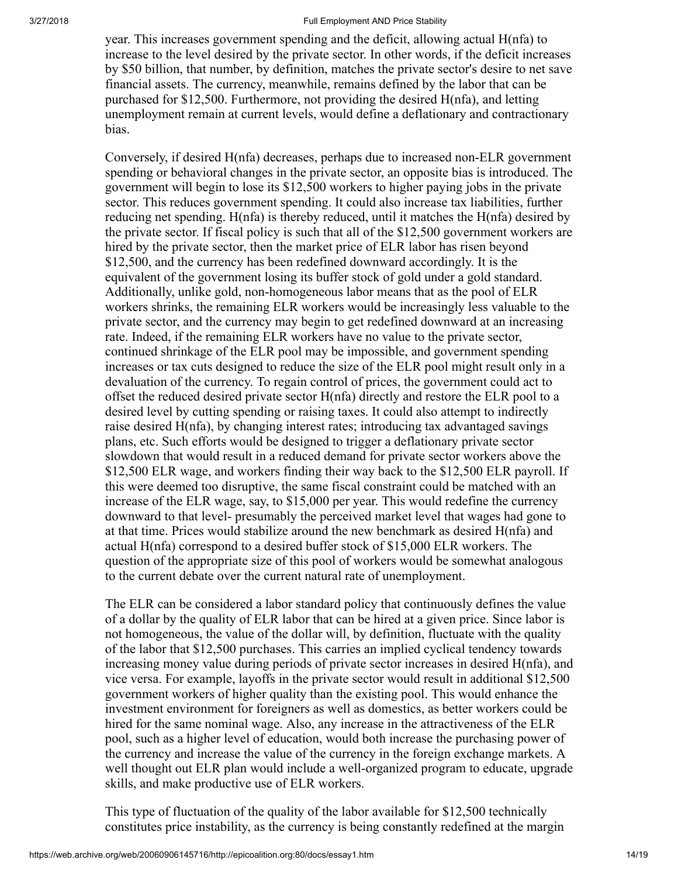year. This increases government spending and the deficit, allowing actual H(nfa) to increase to the level desired by the private sector. In other words, if the deficit increases by \$50 billion, that number, by definition, matches the private sector's desire to net save financial assets. The currency, meanwhile, remains defined by the labor that can be purchased for \$12,500. Furthermore, not providing the desired H(nfa), and letting unemployment remain at current levels, would define a deflationary and contractionary bias.

Conversely, if desired H(nfa) decreases, perhaps due to increased non-ELR government spending or behavioral changes in the private sector, an opposite bias is introduced. The government will begin to lose its \$12,500 workers to higher paying jobs in the private sector. This reduces government spending. It could also increase tax liabilities, further reducing net spending. H(nfa) is thereby reduced, until it matches the H(nfa) desired by the private sector. If fiscal policy is such that all of the \$12,500 government workers are hired by the private sector, then the market price of ELR labor has risen beyond \$12,500, and the currency has been redefined downward accordingly. It is the equivalent of the government losing its buffer stock of gold under a gold standard. Additionally, unlike gold, non-homogeneous labor means that as the pool of ELR workers shrinks, the remaining ELR workers would be increasingly less valuable to the private sector, and the currency may begin to get redefined downward at an increasing rate. Indeed, if the remaining ELR workers have no value to the private sector, continued shrinkage of the ELR pool may be impossible, and government spending increases or tax cuts designed to reduce the size of the ELR pool might result only in a devaluation of the currency. To regain control of prices, the government could act to offset the reduced desired private sector H(nfa) directly and restore the ELR pool to a desired level by cutting spending or raising taxes. It could also attempt to indirectly raise desired H(nfa), by changing interest rates; introducing tax advantaged savings plans, etc. Such efforts would be designed to trigger a deflationary private sector slowdown that would result in a reduced demand for private sector workers above the \$12,500 ELR wage, and workers finding their way back to the \$12,500 ELR payroll. If this were deemed too disruptive, the same fiscal constraint could be matched with an increase of the ELR wage, say, to \$15,000 per year. This would redefine the currency downward to that level- presumably the perceived market level that wages had gone to at that time. Prices would stabilize around the new benchmark as desired H(nfa) and actual H(nfa) correspond to a desired buffer stock of \$15,000 ELR workers. The question of the appropriate size of this pool of workers would be somewhat analogous to the current debate over the current natural rate of unemployment.

The ELR can be considered a labor standard policy that continuously defines the value of a dollar by the quality of ELR labor that can be hired at a given price. Since labor is not homogeneous, the value of the dollar will, by definition, fluctuate with the quality of the labor that \$12,500 purchases. This carries an implied cyclical tendency towards increasing money value during periods of private sector increases in desired H(nfa), and vice versa. For example, layoffs in the private sector would result in additional \$12,500 government workers of higher quality than the existing pool. This would enhance the investment environment for foreigners as well as domestics, as better workers could be hired for the same nominal wage. Also, any increase in the attractiveness of the ELR pool, such as a higher level of education, would both increase the purchasing power of the currency and increase the value of the currency in the foreign exchange markets. A well thought out ELR plan would include a well-organized program to educate, upgrade skills, and make productive use of ELR workers.

This type of fluctuation of the quality of the labor available for \$12,500 technically constitutes price instability, as the currency is being constantly redefined at the margin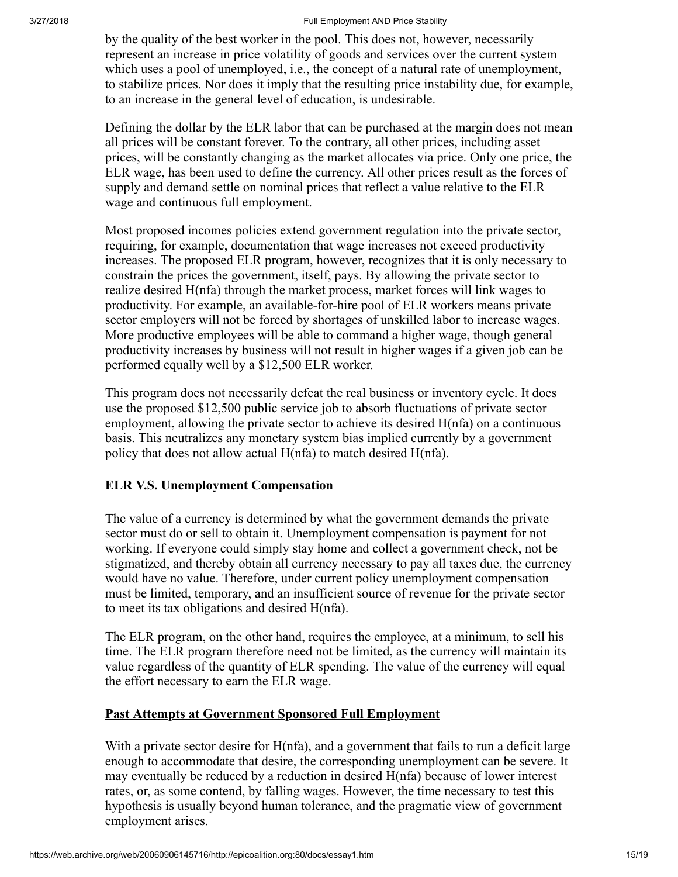by the quality of the best worker in the pool. This does not, however, necessarily represent an increase in price volatility of goods and services over the current system which uses a pool of unemployed, i.e., the concept of a natural rate of unemployment, to stabilize prices. Nor does it imply that the resulting price instability due, for example, to an increase in the general level of education, is undesirable.

Defining the dollar by the ELR labor that can be purchased at the margin does not mean all prices will be constant forever. To the contrary, all other prices, including asset prices, will be constantly changing as the market allocates via price. Only one price, the ELR wage, has been used to define the currency. All other prices result as the forces of supply and demand settle on nominal prices that reflect a value relative to the ELR wage and continuous full employment.

Most proposed incomes policies extend government regulation into the private sector, requiring, for example, documentation that wage increases not exceed productivity increases. The proposed ELR program, however, recognizes that it is only necessary to constrain the prices the government, itself, pays. By allowing the private sector to realize desired H(nfa) through the market process, market forces will link wages to productivity. For example, an available-for-hire pool of ELR workers means private sector employers will not be forced by shortages of unskilled labor to increase wages. More productive employees will be able to command a higher wage, though general productivity increases by business will not result in higher wages if a given job can be performed equally well by a \$12,500 ELR worker.

This program does not necessarily defeat the real business or inventory cycle. It does use the proposed \$12,500 public service job to absorb fluctuations of private sector employment, allowing the private sector to achieve its desired H(nfa) on a continuous basis. This neutralizes any monetary system bias implied currently by a government policy that does not allow actual H(nfa) to match desired H(nfa).

## ELR V.S. Unemployment Compensation

The value of a currency is determined by what the government demands the private sector must do or sell to obtain it. Unemployment compensation is payment for not working. If everyone could simply stay home and collect a government check, not be stigmatized, and thereby obtain all currency necessary to pay all taxes due, the currency would have no value. Therefore, under current policy unemployment compensation must be limited, temporary, and an insufficient source of revenue for the private sector to meet its tax obligations and desired H(nfa).

The ELR program, on the other hand, requires the employee, at a minimum, to sell his time. The ELR program therefore need not be limited, as the currency will maintain its value regardless of the quantity of ELR spending. The value of the currency will equal the effort necessary to earn the ELR wage.

## Past Attempts at Government Sponsored Full Employment

With a private sector desire for H(nfa), and a government that fails to run a deficit large enough to accommodate that desire, the corresponding unemployment can be severe. It may eventually be reduced by a reduction in desired H(nfa) because of lower interest rates, or, as some contend, by falling wages. However, the time necessary to test this hypothesis is usually beyond human tolerance, and the pragmatic view of government employment arises.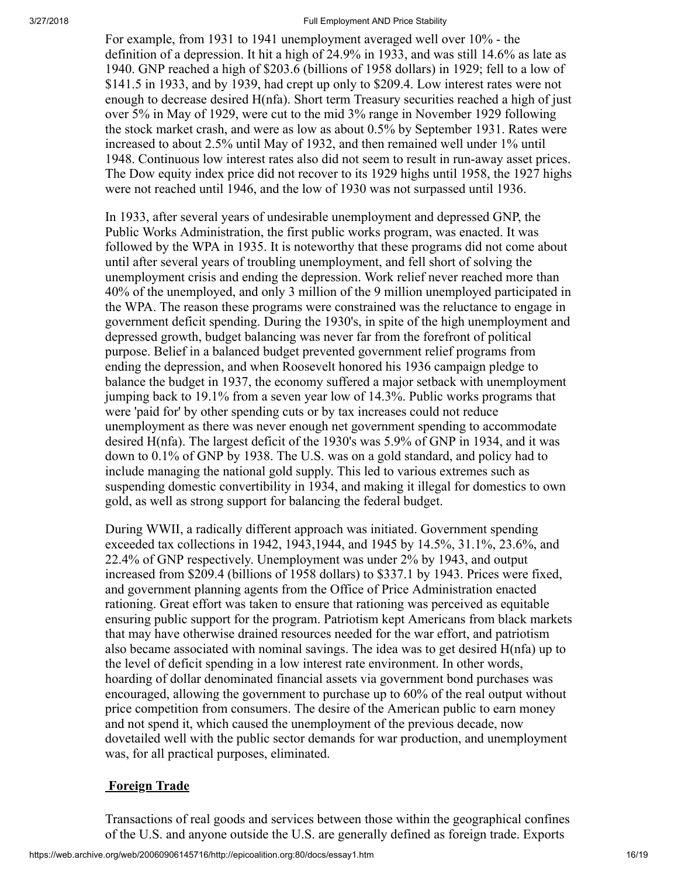For example, from 1931 to 1941 unemployment averaged well over 10% - the definition of a depression. It hit a high of 24.9% in 1933, and was still 14.6% as late as 1940. GNP reached a high of \$203.6 (billions of 1958 dollars) in 1929; fell to a low of \$141.5 in 1933, and by 1939, had crept up only to \$209.4. Low interest rates were not enough to decrease desired H(nfa). Short term Treasury securities reached a high of just over 5% in May of 1929, were cut to the mid 3% range in November 1929 following the stock market crash, and were as low as about 0.5% by September 1931. Rates were increased to about 2.5% until May of 1932, and then remained well under 1% until 1948. Continuous low interest rates also did not seem to result in run-away asset prices. The Dow equity index price did not recover to its 1929 highs until 1958, the 1927 highs were not reached until 1946, and the low of 1930 was not surpassed until 1936.

In 1933, after several years of undesirable unemployment and depressed GNP, the Public Works Administration, the first public works program, was enacted. It was followed by the WPA in 1935. It is noteworthy that these programs did not come about until after several years of troubling unemployment, and fell short of solving the unemployment crisis and ending the depression. Work relief never reached more than 40% of the unemployed, and only 3 million of the 9 million unemployed participated in the WPA. The reason these programs were constrained was the reluctance to engage in government deficit spending. During the 1930's, in spite of the high unemployment and depressed growth, budget balancing was never far from the forefront of political purpose. Belief in a balanced budget prevented government relief programs from ending the depression, and when Roosevelt honored his 1936 campaign pledge to balance the budget in 1937, the economy suffered a major setback with unemployment jumping back to 19.1% from a seven year low of 14.3%. Public works programs that were 'paid for' by other spending cuts or by tax increases could not reduce unemployment as there was never enough net government spending to accommodate desired H(nfa). The largest deficit of the 1930's was 5.9% of GNP in 1934, and it was down to 0.1% of GNP by 1938. The U.S. was on a gold standard, and policy had to include managing the national gold supply. This led to various extremes such as suspending domestic convertibility in 1934, and making it illegal for domestics to own gold, as well as strong support for balancing the federal budget.

During WWII, a radically different approach was initiated. Government spending exceeded tax collections in 1942, 1943,1944, and 1945 by 14.5%, 31.1%, 23.6%, and 22.4% of GNP respectively. Unemployment was under 2% by 1943, and output increased from \$209.4 (billions of 1958 dollars) to \$337.1 by 1943. Prices were fixed, and government planning agents from the Office of Price Administration enacted rationing. Great effort was taken to ensure that rationing was perceived as equitable ensuring public support for the program. Patriotism kept Americans from black markets that may have otherwise drained resources needed for the war effort, and patriotism also became associated with nominal savings. The idea was to get desired H(nfa) up to the level of deficit spending in a low interest rate environment. In other words, hoarding of dollar denominated financial assets via government bond purchases was encouraged, allowing the government to purchase up to 60% of the real output without price competition from consumers. The desire of the American public to earn money and not spend it, which caused the unemployment of the previous decade, now dovetailed well with the public sector demands for war production, and unemployment was, for all practical purposes, eliminated.

# **Foreign Trade**

Transactions of real goods and services between those within the geographical confines of the U.S. and anyone outside the U.S. are generally defined as foreign trade. Exports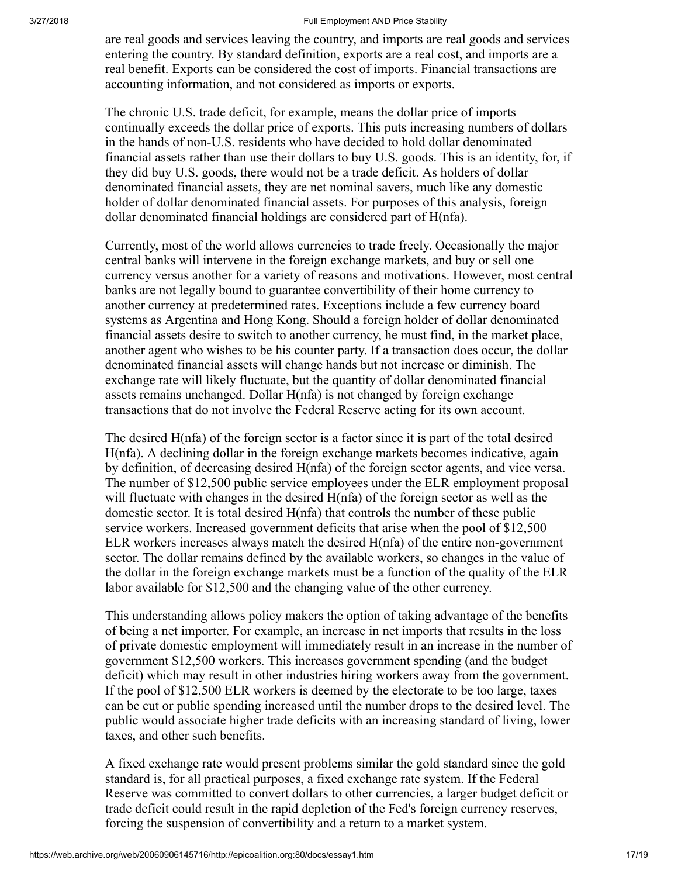are real goods and services leaving the country, and imports are real goods and services entering the country. By standard definition, exports are a real cost, and imports are a real benefit. Exports can be considered the cost of imports. Financial transactions are accounting information, and not considered as imports or exports.

The chronic U.S. trade deficit, for example, means the dollar price of imports continually exceeds the dollar price of exports. This puts increasing numbers of dollars in the hands of non-U.S. residents who have decided to hold dollar denominated financial assets rather than use their dollars to buy U.S. goods. This is an identity, for, if they did buy U.S. goods, there would not be a trade deficit. As holders of dollar denominated financial assets, they are net nominal savers, much like any domestic holder of dollar denominated financial assets. For purposes of this analysis, foreign dollar denominated financial holdings are considered part of H(nfa).

Currently, most of the world allows currencies to trade freely. Occasionally the major central banks will intervene in the foreign exchange markets, and buy or sell one currency versus another for a variety of reasons and motivations. However, most central banks are not legally bound to guarantee convertibility of their home currency to another currency at predetermined rates. Exceptions include a few currency board systems as Argentina and Hong Kong. Should a foreign holder of dollar denominated financial assets desire to switch to another currency, he must find, in the market place, another agent who wishes to be his counter party. If a transaction does occur, the dollar denominated financial assets will change hands but not increase or diminish. The exchange rate will likely fluctuate, but the quantity of dollar denominated financial assets remains unchanged. Dollar H(nfa) is not changed by foreign exchange transactions that do not involve the Federal Reserve acting for its own account.

The desired H(nfa) of the foreign sector is a factor since it is part of the total desired H(nfa). A declining dollar in the foreign exchange markets becomes indicative, again by definition, of decreasing desired H(nfa) of the foreign sector agents, and vice versa. The number of \$12,500 public service employees under the ELR employment proposal will fluctuate with changes in the desired H(nfa) of the foreign sector as well as the domestic sector. It is total desired H(nfa) that controls the number of these public service workers. Increased government deficits that arise when the pool of \$12,500 ELR workers increases always match the desired H(nfa) of the entire non-government sector. The dollar remains defined by the available workers, so changes in the value of the dollar in the foreign exchange markets must be a function of the quality of the ELR labor available for \$12,500 and the changing value of the other currency.

This understanding allows policy makers the option of taking advantage of the benefits of being a net importer. For example, an increase in net imports that results in the loss of private domestic employment will immediately result in an increase in the number of government \$12,500 workers. This increases government spending (and the budget deficit) which may result in other industries hiring workers away from the government. If the pool of \$12,500 ELR workers is deemed by the electorate to be too large, taxes can be cut or public spending increased until the number drops to the desired level. The public would associate higher trade deficits with an increasing standard of living, lower taxes, and other such benefits.

A fixed exchange rate would present problems similar the gold standard since the gold standard is, for all practical purposes, a fixed exchange rate system. If the Federal Reserve was committed to convert dollars to other currencies, a larger budget deficit or trade deficit could result in the rapid depletion of the Fed's foreign currency reserves, forcing the suspension of convertibility and a return to a market system.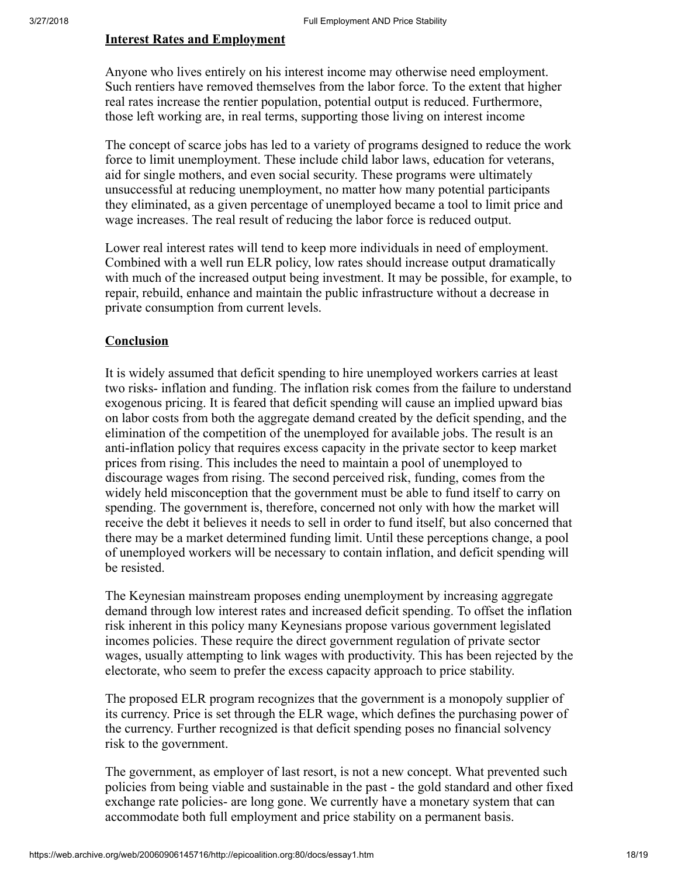### Interest Rates and Employment

Anyone who lives entirely on his interest income may otherwise need employment. Such rentiers have removed themselves from the labor force. To the extent that higher real rates increase the rentier population, potential output is reduced. Furthermore, those left working are, in real terms, supporting those living on interest income

The concept of scarce jobs has led to a variety of programs designed to reduce the work force to limit unemployment. These include child labor laws, education for veterans, aid for single mothers, and even social security. These programs were ultimately unsuccessful at reducing unemployment, no matter how many potential participants they eliminated, as a given percentage of unemployed became a tool to limit price and wage increases. The real result of reducing the labor force is reduced output.

Lower real interest rates will tend to keep more individuals in need of employment. Combined with a well run ELR policy, low rates should increase output dramatically with much of the increased output being investment. It may be possible, for example, to repair, rebuild, enhance and maintain the public infrastructure without a decrease in private consumption from current levels.

## **Conclusion**

It is widely assumed that deficit spending to hire unemployed workers carries at least two risks- inflation and funding. The inflation risk comes from the failure to understand exogenous pricing. It is feared that deficit spending will cause an implied upward bias on labor costs from both the aggregate demand created by the deficit spending, and the elimination of the competition of the unemployed for available jobs. The result is an anti-inflation policy that requires excess capacity in the private sector to keep market prices from rising. This includes the need to maintain a pool of unemployed to discourage wages from rising. The second perceived risk, funding, comes from the widely held misconception that the government must be able to fund itself to carry on spending. The government is, therefore, concerned not only with how the market will receive the debt it believes it needs to sell in order to fund itself, but also concerned that there may be a market determined funding limit. Until these perceptions change, a pool of unemployed workers will be necessary to contain inflation, and deficit spending will be resisted.

The Keynesian mainstream proposes ending unemployment by increasing aggregate demand through low interest rates and increased deficit spending. To offset the inflation risk inherent in this policy many Keynesians propose various government legislated incomes policies. These require the direct government regulation of private sector wages, usually attempting to link wages with productivity. This has been rejected by the electorate, who seem to prefer the excess capacity approach to price stability.

The proposed ELR program recognizes that the government is a monopoly supplier of its currency. Price is set through the ELR wage, which defines the purchasing power of the currency. Further recognized is that deficit spending poses no financial solvency risk to the government.

The government, as employer of last resort, is not a new concept. What prevented such policies from being viable and sustainable in the past - the gold standard and other fixed exchange rate policies- are long gone. We currently have a monetary system that can accommodate both full employment and price stability on a permanent basis.